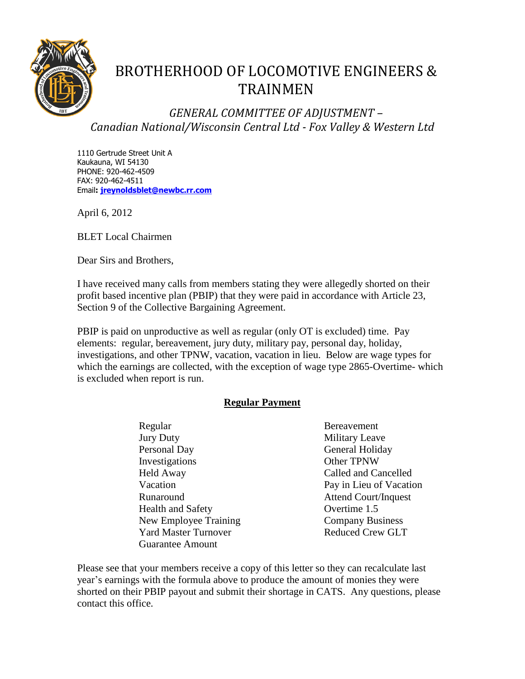

## BROTHERHOOD OF LOCOMOTIVE ENGINEERS & TRAINMEN

*GENERAL COMMITTEE OF ADJUSTMENT – Canadian National/Wisconsin Central Ltd - Fox Valley & Western Ltd*

1110 Gertrude Street Unit A Kaukauna, WI 54130 PHONE: 920-462-4509 FAX: 920-462-4511 Email**: [jreynoldsblet@newbc.rr.com](mailto:jreynoldblet@newbc.rr.com)**

April 6, 2012

BLET Local Chairmen

Dear Sirs and Brothers,

I have received many calls from members stating they were allegedly shorted on their profit based incentive plan (PBIP) that they were paid in accordance with Article 23, Section 9 of the Collective Bargaining Agreement.

PBIP is paid on unproductive as well as regular (only OT is excluded) time. Pay elements: regular, bereavement, jury duty, military pay, personal day, holiday, investigations, and other TPNW, vacation, vacation in lieu. Below are wage types for which the earnings are collected, with the exception of wage type 2865-Overtime- which is excluded when report is run.

## **Regular Payment**

- Regular Bereavement Jury Duty Military Leave Personal Day General Holiday Investigations Other TPNW Held Away Called and Cancelled Vacation Pay in Lieu of Vacation Runaround Attend Court/Inquest Health and Safety **Overtime 1.5** New Employee Training Company Business Yard Master Turnover Reduced Crew GLT Guarantee Amount
	-

Please see that your members receive a copy of this letter so they can recalculate last year's earnings with the formula above to produce the amount of monies they were shorted on their PBIP payout and submit their shortage in CATS. Any questions, please contact this office.